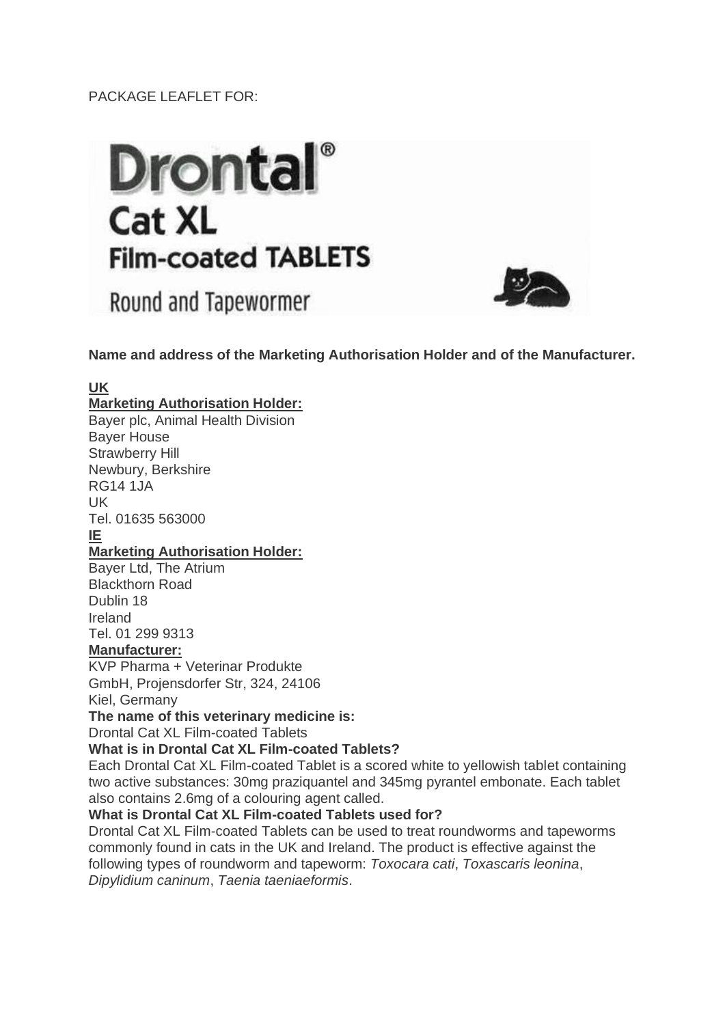# PACKAGE LEAFLET FOR:

# **Drontal**<sup>®</sup> **Cat XL Film-coated TABLETS**

Round and Tapewormer



**Name and address of the Marketing Authorisation Holder and of the Manufacturer.**

# **UK**

# **Marketing Authorisation Holder:**

Bayer plc, Animal Health Division Bayer House Strawberry Hill Newbury, Berkshire RG14 1JA UK Tel. 01635 563000 **IE Marketing Authorisation Holder:** Bayer Ltd, The Atrium Blackthorn Road Dublin 18 Ireland Tel. 01 299 9313 **Manufacturer:** KVP Pharma + Veterinar Produkte GmbH, Projensdorfer Str, 324, 24106 Kiel, Germany **The name of this veterinary medicine is:** Drontal Cat XL Film-coated Tablets **What is in Drontal Cat XL Film-coated Tablets?** Each Drontal Cat XL Film-coated Tablet is a scored white to yellowish tablet containing two active substances: 30mg praziquantel and 345mg pyrantel embonate. Each tablet also contains 2.6mg of a colouring agent called. **What is Drontal Cat XL Film-coated Tablets used for?** Drontal Cat XL Film-coated Tablets can be used to treat roundworms and tapeworms commonly found in cats in the UK and Ireland. The product is effective against the following types of roundworm and tapeworm: *Toxocara cati*, *Toxascaris leonina*,

*Dipylidium caninum*, *Taenia taeniaeformis*.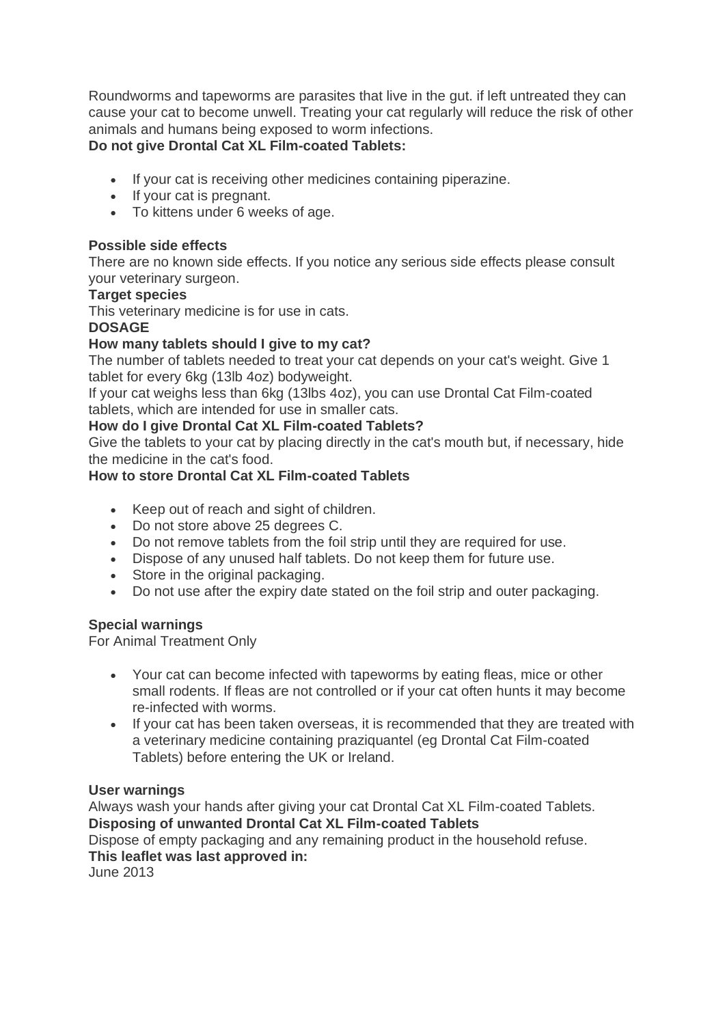Roundworms and tapeworms are parasites that live in the gut. if left untreated they can cause your cat to become unwell. Treating your cat regularly will reduce the risk of other animals and humans being exposed to worm infections.

# **Do not give Drontal Cat XL Film-coated Tablets:**

- If your cat is receiving other medicines containing piperazine.
- If your cat is pregnant.
- To kittens under 6 weeks of age.

### **Possible side effects**

There are no known side effects. If you notice any serious side effects please consult your veterinary surgeon.

# **Target species**

This veterinary medicine is for use in cats.

#### **DOSAGE**

# **How many tablets should I give to my cat?**

The number of tablets needed to treat your cat depends on your cat's weight. Give 1 tablet for every 6kg (13lb 4oz) bodyweight.

If your cat weighs less than 6kg (13lbs 4oz), you can use Drontal Cat Film-coated tablets, which are intended for use in smaller cats.

# **How do I give Drontal Cat XL Film-coated Tablets?**

Give the tablets to your cat by placing directly in the cat's mouth but, if necessary, hide the medicine in the cat's food.

# **How to store Drontal Cat XL Film-coated Tablets**

- Keep out of reach and sight of children.
- Do not store above 25 degrees C.
- Do not remove tablets from the foil strip until they are required for use.
- Dispose of any unused half tablets. Do not keep them for future use.
- Store in the original packaging.
- Do not use after the expiry date stated on the foil strip and outer packaging.

# **Special warnings**

For Animal Treatment Only

- Your cat can become infected with tapeworms by eating fleas, mice or other small rodents. If fleas are not controlled or if your cat often hunts it may become re-infected with worms.
- If your cat has been taken overseas, it is recommended that they are treated with a veterinary medicine containing praziquantel (eg Drontal Cat Film-coated Tablets) before entering the UK or Ireland.

#### **User warnings**

Always wash your hands after giving your cat Drontal Cat XL Film-coated Tablets. **Disposing of unwanted Drontal Cat XL Film-coated Tablets**

Dispose of empty packaging and any remaining product in the household refuse. **This leaflet was last approved in:**

June 2013